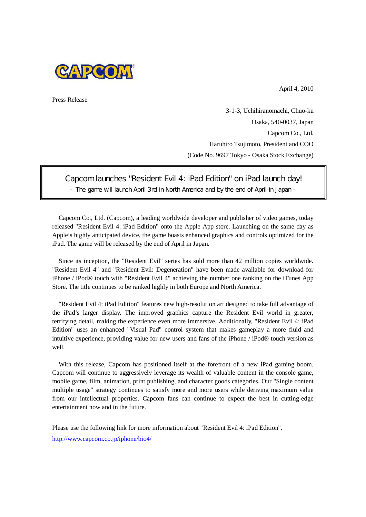

April 4, 2010

Press Release

3-1-3, Uchihiranomachi, Chuo-ku Osaka, 540-0037, Japan Capcom Co., Ltd. Haruhiro Tsujimoto, President and COO (Code No. 9697 Tokyo - Osaka Stock Exchange)

Capcom launches "Resident Evil 4: iPad Edition" on iPad launch day!

- The game will launch April 3rd in North America and by the end of April in Japan -

Capcom Co., Ltd. (Capcom), a leading worldwide developer and publisher of video games, today released "Resident Evil 4: iPad Edition" onto the Apple App store. Launching on the same day as Apple's highly anticipated device, the game boasts enhanced graphics and controls optimized for the iPad. The game will be released by the end of April in Japan.

Since its inception, the "Resident Evil" series has sold more than 42 million copies worldwide. "Resident Evil 4" and "Resident Evil: Degeneration" have been made available for download for iPhone / iPod® touch with "Resident Evil 4" achieving the number one ranking on the iTunes App Store. The title continues to be ranked highly in both Europe and North America.

"Resident Evil 4: iPad Edition" features new high-resolution art designed to take full advantage of the iPad's larger display. The improved graphics capture the Resident Evil world in greater, terrifying detail, making the experience even more immersive. Additionally, "Resident Evil 4: iPad Edition" uses an enhanced "Visual Pad" control system that makes gameplay a more fluid and intuitive experience, providing value for new users and fans of the iPhone / iPod® touch version as well.

With this release, Capcom has positioned itself at the forefront of a new iPad gaming boom. Capcom will continue to aggressively leverage its wealth of valuable content in the console game, mobile game, film, animation, print publishing, and character goods categories. Our "Single content multiple usage" strategy continues to satisfy more and more users while deriving maximum value from our intellectual properties. Capcom fans can continue to expect the best in cutting-edge entertainment now and in the future.

Please use the following link for more information about "Resident Evil 4: iPad Edition". http://www.capcom.co.jp/iphone/bio4/